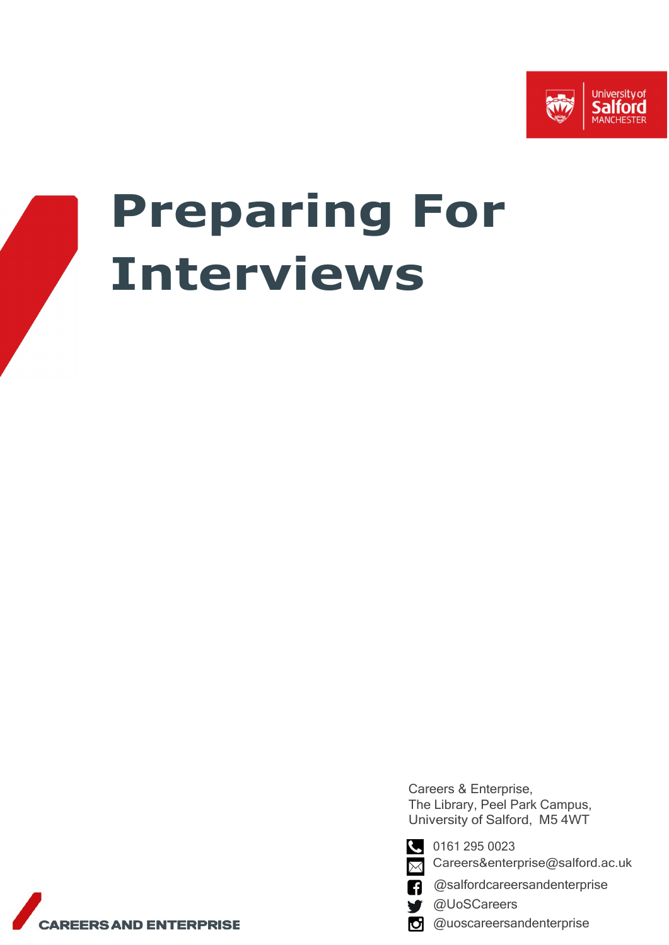



# **Preparing For Interviews**

Careers & Enterprise, The Library, Peel Park Campus, University of Salford, M5 4WT



0161 295 0023 [Careers&enterprise@salford.ac.uk](mailto:Careers%26enterprise@salford.ac.uk)

Χ

@salfordcareersandenterprise n

@UoSCareers

@uoscareersandenterpriseЮŀ

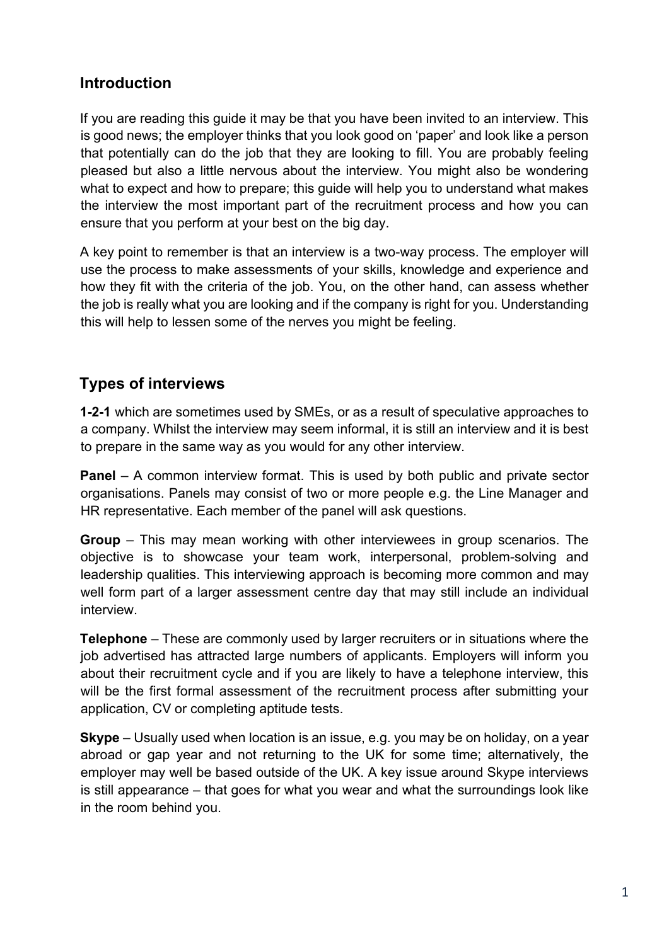# **Introduction**

If you are reading this guide it may be that you have been invited to an interview. This is good news; the employer thinks that you look good on 'paper' and look like a person that potentially can do the job that they are looking to fill. You are probably feeling pleased but also a little nervous about the interview. You might also be wondering what to expect and how to prepare; this guide will help you to understand what makes the interview the most important part of the recruitment process and how you can ensure that you perform at your best on the big day.

A key point to remember is that an interview is a two-way process. The employer will use the process to make assessments of your skills, knowledge and experience and how they fit with the criteria of the job. You, on the other hand, can assess whether the job is really what you are looking and if the company is right for you. Understanding this will help to lessen some of the nerves you might be feeling.

# **Types of interviews**

**1-2-1** which are sometimes used by SMEs, or as a result of speculative approaches to a company. Whilst the interview may seem informal, it is still an interview and it is best to prepare in the same way as you would for any other interview.

**Panel** – A common interview format. This is used by both public and private sector organisations. Panels may consist of two or more people e.g. the Line Manager and HR representative. Each member of the panel will ask questions.

**Group** – This may mean working with other interviewees in group scenarios. The objective is to showcase your team work, interpersonal, problem-solving and leadership qualities. This interviewing approach is becoming more common and may well form part of a larger assessment centre day that may still include an individual interview.

**Telephone** – These are commonly used by larger recruiters or in situations where the job advertised has attracted large numbers of applicants. Employers will inform you about their recruitment cycle and if you are likely to have a telephone interview, this will be the first formal assessment of the recruitment process after submitting your application, CV or completing aptitude tests.

**Skype** – Usually used when location is an issue, e.g. you may be on holiday, on a year abroad or gap year and not returning to the UK for some time; alternatively, the employer may well be based outside of the UK. A key issue around Skype interviews is still appearance – that goes for what you wear and what the surroundings look like in the room behind you.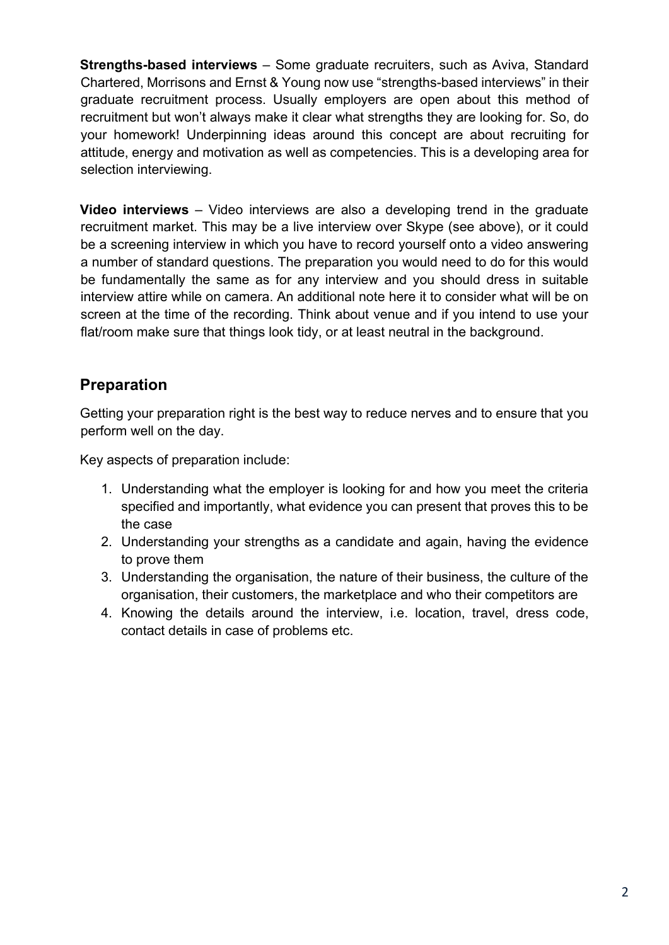**Strengths-based interviews** – Some graduate recruiters, such as Aviva, Standard Chartered, Morrisons and Ernst & Young now use "strengths-based interviews" in their graduate recruitment process. Usually employers are open about this method of recruitment but won't always make it clear what strengths they are looking for. So, do your homework! Underpinning ideas around this concept are about recruiting for attitude, energy and motivation as well as competencies. This is a developing area for selection interviewing.

**Video interviews** – Video interviews are also a developing trend in the graduate recruitment market. This may be a live interview over Skype (see above), or it could be a screening interview in which you have to record yourself onto a video answering a number of standard questions. The preparation you would need to do for this would be fundamentally the same as for any interview and you should dress in suitable interview attire while on camera. An additional note here it to consider what will be on screen at the time of the recording. Think about venue and if you intend to use your flat/room make sure that things look tidy, or at least neutral in the background.

## **Preparation**

Getting your preparation right is the best way to reduce nerves and to ensure that you perform well on the day.

Key aspects of preparation include:

- 1. Understanding what the employer is looking for and how you meet the criteria specified and importantly, what evidence you can present that proves this to be the case
- 2. Understanding your strengths as a candidate and again, having the evidence to prove them
- 3. Understanding the organisation, the nature of their business, the culture of the organisation, their customers, the marketplace and who their competitors are
- 4. Knowing the details around the interview, i.e. location, travel, dress code, contact details in case of problems etc.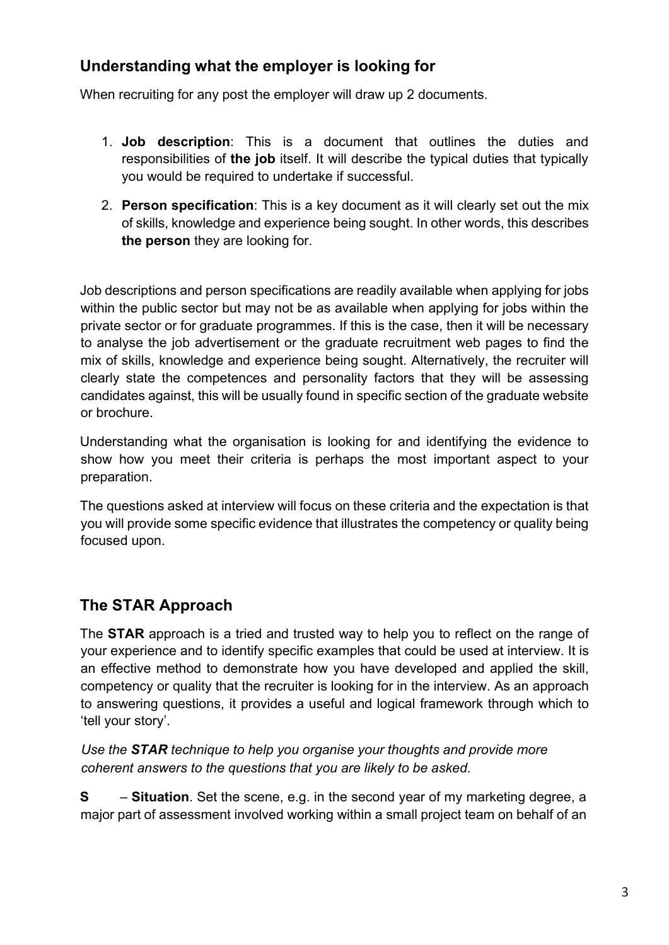## **Understanding what the employer is looking for**

When recruiting for any post the employer will draw up 2 documents.

- 1. **Job description**: This is a document that outlines the duties and responsibilities of **the job** itself. It will describe the typical duties that typically you would be required to undertake if successful.
- 2. **Person specification**: This is a key document as it will clearly set out the mix of skills, knowledge and experience being sought. In other words, this describes **the person** they are looking for.

Job descriptions and person specifications are readily available when applying for jobs within the public sector but may not be as available when applying for jobs within the private sector or for graduate programmes. If this is the case, then it will be necessary to analyse the job advertisement or the graduate recruitment web pages to find the mix of skills, knowledge and experience being sought. Alternatively, the recruiter will clearly state the competences and personality factors that they will be assessing candidates against, this will be usually found in specific section of the graduate website or brochure.

Understanding what the organisation is looking for and identifying the evidence to show how you meet their criteria is perhaps the most important aspect to your preparation.

The questions asked at interview will focus on these criteria and the expectation is that you will provide some specific evidence that illustrates the competency or quality being focused upon.

# **The STAR Approach**

The **STAR** approach is a tried and trusted way to help you to reflect on the range of your experience and to identify specific examples that could be used at interview. It is an effective method to demonstrate how you have developed and applied the skill, competency or quality that the recruiter is looking for in the interview. As an approach to answering questions, it provides a useful and logical framework through which to 'tell your story'.

*Use the STAR technique to help you organise your thoughts and provide more coherent answers to the questions that you are likely to be asked.*

**S** – **Situation**. Set the scene, e.g. in the second year of my marketing degree, a major part of assessment involved working within a small project team on behalf of an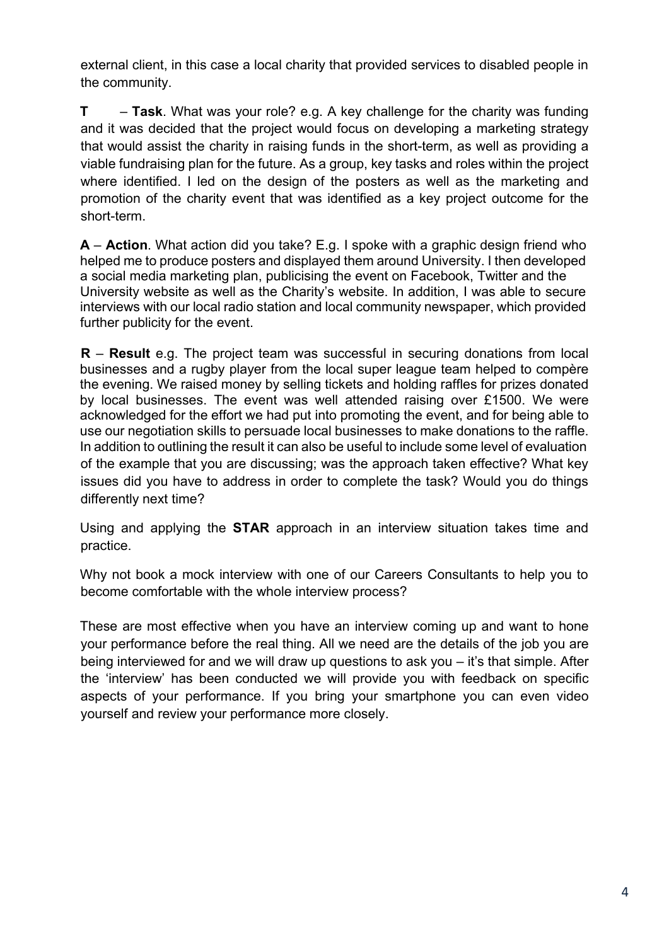external client, in this case a local charity that provided services to disabled people in the community.

**T** – **Task**. What was your role? e.g. A key challenge for the charity was funding and it was decided that the project would focus on developing a marketing strategy that would assist the charity in raising funds in the short-term, as well as providing a viable fundraising plan for the future. As a group, key tasks and roles within the project where identified. I led on the design of the posters as well as the marketing and promotion of the charity event that was identified as a key project outcome for the short-term.

**A** – **Action**. What action did you take? E.g. I spoke with a graphic design friend who helped me to produce posters and displayed them around University. I then developed a social media marketing plan, publicising the event on Facebook, Twitter and the University website as well as the Charity's website. In addition, I was able to secure interviews with our local radio station and local community newspaper, which provided further publicity for the event.

**R** – **Result** e.g. The project team was successful in securing donations from local businesses and a rugby player from the local super league team helped to compère the evening. We raised money by selling tickets and holding raffles for prizes donated by local businesses. The event was well attended raising over £1500. We were acknowledged for the effort we had put into promoting the event, and for being able to use our negotiation skills to persuade local businesses to make donations to the raffle. In addition to outlining the result it can also be useful to include some level of evaluation of the example that you are discussing; was the approach taken effective? What key issues did you have to address in order to complete the task? Would you do things differently next time?

Using and applying the **STAR** approach in an interview situation takes time and practice.

Why not book a mock interview with one of our Careers Consultants to help you to become comfortable with the whole interview process?

These are most effective when you have an interview coming up and want to hone your performance before the real thing. All we need are the details of the job you are being interviewed for and we will draw up questions to ask you – it's that simple. After the 'interview' has been conducted we will provide you with feedback on specific aspects of your performance. If you bring your smartphone you can even video yourself and review your performance more closely.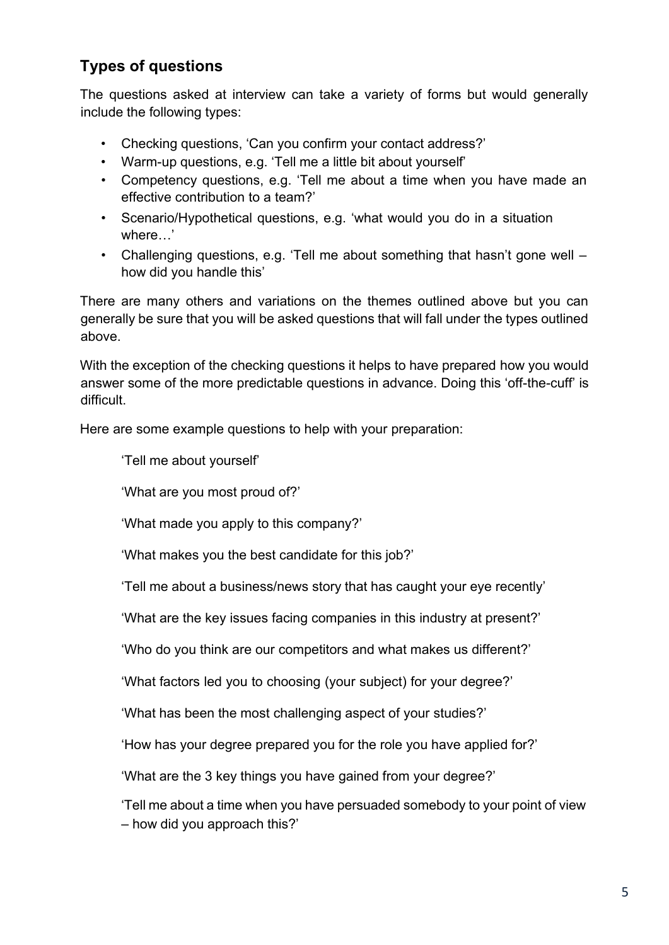# **Types of questions**

The questions asked at interview can take a variety of forms but would generally include the following types:

- Checking questions, 'Can you confirm your contact address?'
- Warm-up questions, e.g. 'Tell me a little bit about yourself'
- Competency questions, e.g. 'Tell me about a time when you have made an effective contribution to a team?'
- Scenario/Hypothetical questions, e.g. 'what would you do in a situation where…'
- Challenging questions, e.g. 'Tell me about something that hasn't gone well how did you handle this'

There are many others and variations on the themes outlined above but you can generally be sure that you will be asked questions that will fall under the types outlined above.

With the exception of the checking questions it helps to have prepared how you would answer some of the more predictable questions in advance. Doing this 'off-the-cuff' is difficult.

Here are some example questions to help with your preparation:

'Tell me about yourself'

'What are you most proud of?'

'What made you apply to this company?'

'What makes you the best candidate for this job?'

'Tell me about a business/news story that has caught your eye recently'

'What are the key issues facing companies in this industry at present?'

'Who do you think are our competitors and what makes us different?'

'What factors led you to choosing (your subject) for your degree?'

'What has been the most challenging aspect of your studies?'

'How has your degree prepared you for the role you have applied for?'

'What are the 3 key things you have gained from your degree?'

'Tell me about a time when you have persuaded somebody to your point of view – how did you approach this?'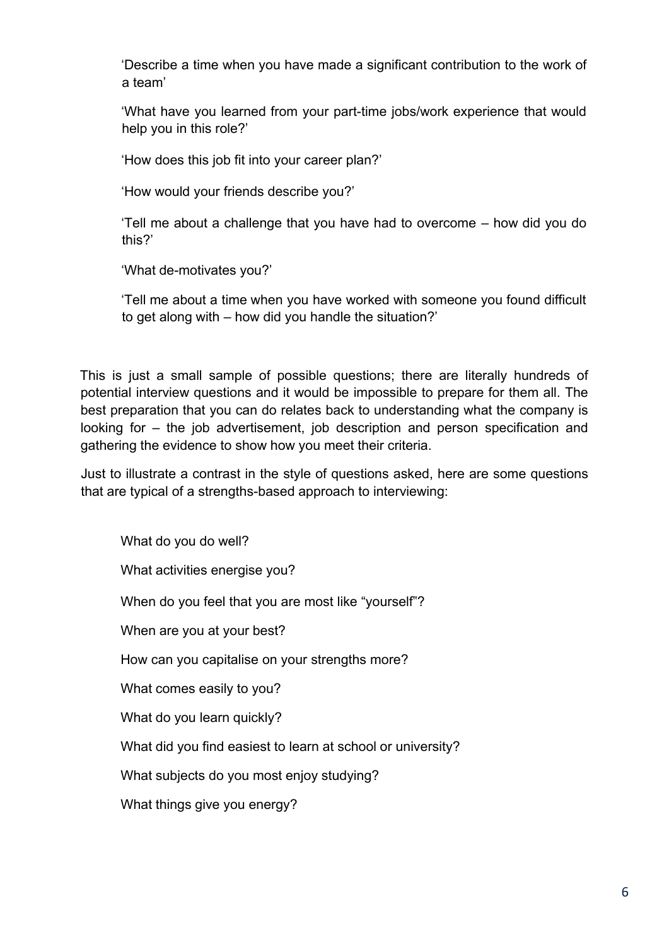'Describe a time when you have made a significant contribution to the work of a team'

'What have you learned from your part-time jobs/work experience that would help you in this role?'

'How does this job fit into your career plan?'

'How would your friends describe you?'

'Tell me about a challenge that you have had to overcome – how did you do this?'

'What de-motivates you?'

'Tell me about a time when you have worked with someone you found difficult to get along with – how did you handle the situation?'

This is just a small sample of possible questions; there are literally hundreds of potential interview questions and it would be impossible to prepare for them all. The best preparation that you can do relates back to understanding what the company is looking for – the job advertisement, job description and person specification and gathering the evidence to show how you meet their criteria.

Just to illustrate a contrast in the style of questions asked, here are some questions that are typical of a strengths-based approach to interviewing:

What do you do well? What activities energise you? When do you feel that you are most like "yourself"? When are you at your best? How can you capitalise on your strengths more? What comes easily to you? What do you learn quickly? What did you find easiest to learn at school or university? What subjects do you most enjoy studying? What things give you energy?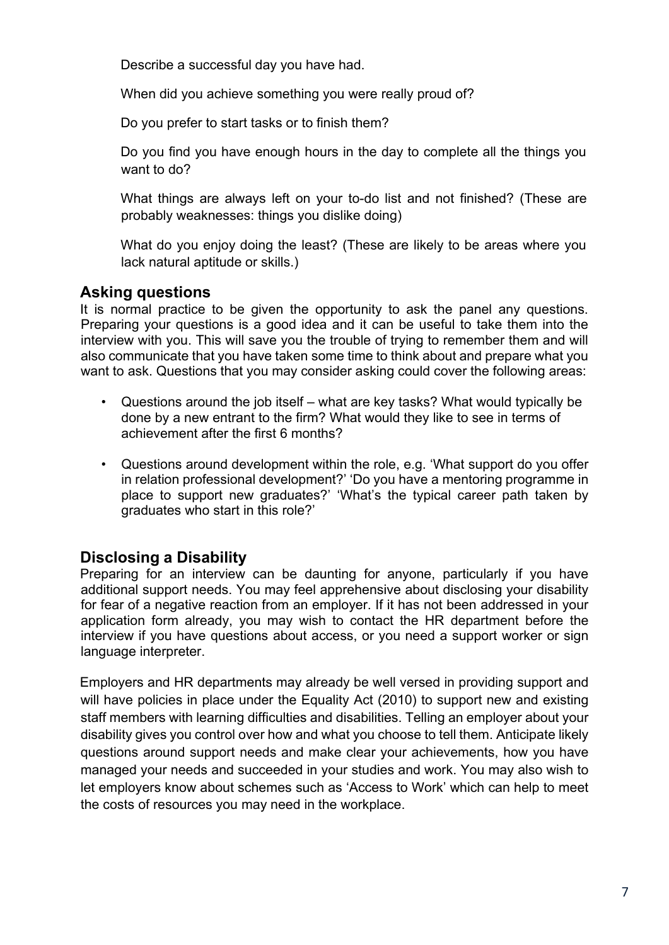Describe a successful day you have had.

When did you achieve something you were really proud of?

Do you prefer to start tasks or to finish them?

Do you find you have enough hours in the day to complete all the things you want to do?

What things are always left on your to-do list and not finished? (These are probably weaknesses: things you dislike doing)

What do you enjoy doing the least? (These are likely to be areas where you lack natural aptitude or skills.)

#### **Asking questions**

It is normal practice to be given the opportunity to ask the panel any questions. Preparing your questions is a good idea and it can be useful to take them into the interview with you. This will save you the trouble of trying to remember them and will also communicate that you have taken some time to think about and prepare what you want to ask. Questions that you may consider asking could cover the following areas:

- Questions around the job itself what are key tasks? What would typically be done by a new entrant to the firm? What would they like to see in terms of achievement after the first 6 months?
- Questions around development within the role, e.g. 'What support do you offer in relation professional development?' 'Do you have a mentoring programme in place to support new graduates?' 'What's the typical career path taken by graduates who start in this role?'

## **Disclosing a Disability**

Preparing for an interview can be daunting for anyone, particularly if you have additional support needs. You may feel apprehensive about disclosing your disability for fear of a negative reaction from an employer. If it has not been addressed in your application form already, you may wish to contact the HR department before the interview if you have questions about access, or you need a support worker or sign language interpreter.

Employers and HR departments may already be well versed in providing support and will have policies in place under the Equality Act (2010) to support new and existing staff members with learning difficulties and disabilities. Telling an employer about your disability gives you control over how and what you choose to tell them. Anticipate likely questions around support needs and make clear your achievements, how you have managed your needs and succeeded in your studies and work. You may also wish to let employers know about schemes such as 'Access to Work' which can help to meet the costs of resources you may need in the workplace.